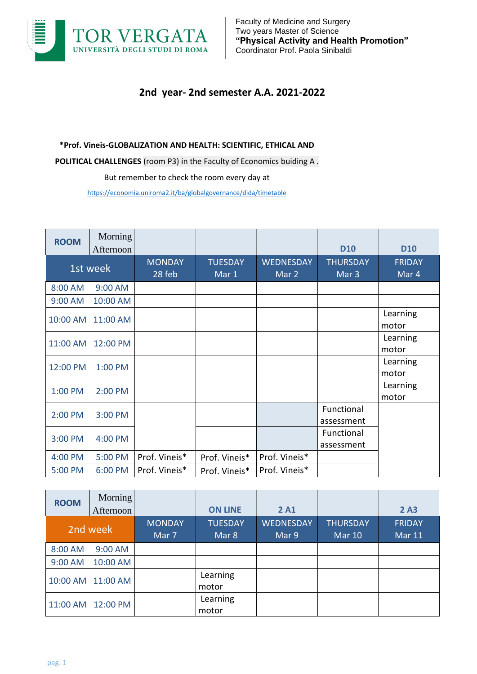

## **2nd year- 2nd semester A.A. 2021-2022**

## **\*Prof. Vineis-GLOBALIZATION AND HEALTH: SCIENTIFIC, ETHICAL AND**

**POLITICAL CHALLENGES** (room P3) in the Faculty of Economics buiding A .

But remember to check the room every day at

<https://economia.uniroma2.it/ba/globalgovernance/dida/timetable>

| <b>ROOM</b> | Morning           |                           |                         |                           |                                     |                        |
|-------------|-------------------|---------------------------|-------------------------|---------------------------|-------------------------------------|------------------------|
|             | Afternoon         |                           |                         |                           | <b>D10</b>                          | <b>D10</b>             |
| 1st week    |                   | <b>MONDAY</b><br>$28$ feb | <b>TUESDAY</b><br>Mar 1 | <b>WEDNESDAY</b><br>Mar 2 | <b>THURSDAY</b><br>Mar <sub>3</sub> | <b>FRIDAY</b><br>Mar 4 |
| 8:00 AM     | $9:00$ AM         |                           |                         |                           |                                     |                        |
| 9:00 AM     | 10:00 AM          |                           |                         |                           |                                     |                        |
|             | 10:00 AM 11:00 AM |                           |                         |                           |                                     | Learning<br>motor      |
| 11:00 AM    | 12:00 PM          |                           |                         |                           |                                     | Learning<br>motor      |
| 12:00 PM    | 1:00 PM           |                           |                         |                           |                                     | Learning<br>motor      |
| 1:00 PM     | 2:00 PM           |                           |                         |                           |                                     | Learning<br>motor      |
| 2:00 PM     | 3:00 PM           |                           |                         |                           | Functional<br>assessment            |                        |
| 3:00 PM     | 4:00 PM           |                           |                         |                           | Functional<br>assessment            |                        |
| 4:00 PM     | 5:00 PM           | Prof. Vineis*             | Prof. Vineis*           | Prof. Vineis*             |                                     |                        |
| 5:00 PM     | 6:00 PM           | Prof. Vineis*             | Prof. Vineis*           | Prof. Vineis*             |                                     |                        |

| <b>ROOM</b> | Morning           |               |                |                  |                 |               |                   |  |          |  |  |  |
|-------------|-------------------|---------------|----------------|------------------|-----------------|---------------|-------------------|--|----------|--|--|--|
|             | Afternoon         |               | <b>ON LINE</b> | 2 A <sub>1</sub> |                 | 2A3           |                   |  |          |  |  |  |
|             |                   | <b>MONDAY</b> | <b>TUESDAY</b> | <b>WEDNESDAY</b> | <b>THURSDAY</b> | <b>FRIDAY</b> |                   |  |          |  |  |  |
| 2nd week    |                   | Mar 7         | Mar 8          | Mar 9            | Mar 10          | <b>Mar 11</b> |                   |  |          |  |  |  |
| 8:00 AM     | 9:00 AM           |               |                |                  |                 |               |                   |  |          |  |  |  |
| 9:00 AM     | 10:00 AM          |               |                |                  |                 |               |                   |  |          |  |  |  |
|             |                   |               |                |                  |                 |               | 10:00 AM 11:00 AM |  | Learning |  |  |  |
|             |                   |               | motor          |                  |                 |               |                   |  |          |  |  |  |
|             | 11:00 AM 12:00 PM |               | Learning       |                  |                 |               |                   |  |          |  |  |  |
|             |                   |               | motor          |                  |                 |               |                   |  |          |  |  |  |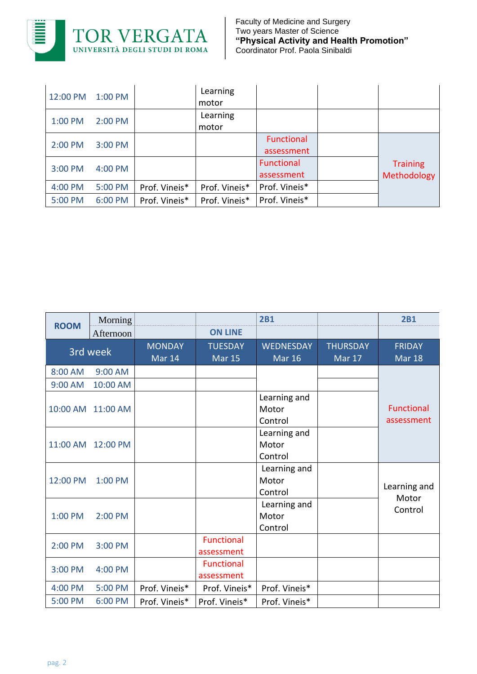

| 12:00 PM | 1:00 PM |               | Learning<br>motor |                                 |                                |
|----------|---------|---------------|-------------------|---------------------------------|--------------------------------|
| 1:00 PM  | 2:00 PM |               | Learning<br>motor |                                 |                                |
| 2:00 PM  | 3:00 PM |               |                   | <b>Functional</b><br>assessment |                                |
| 3:00 PM  | 4:00 PM |               |                   | <b>Functional</b><br>assessment | <b>Training</b><br>Methodology |
| 4:00 PM  | 5:00 PM | Prof. Vineis* | Prof. Vineis*     | Prof. Vineis*                   |                                |
| 5:00 PM  | 6:00 PM | Prof. Vineis* | Prof. Vineis*     | Prof. Vineis*                   |                                |

| <b>ROOM</b> | Morning           |                         |                                 | 2B1                               |                                  | <b>2B1</b>                      |
|-------------|-------------------|-------------------------|---------------------------------|-----------------------------------|----------------------------------|---------------------------------|
|             | Afternoon         |                         | <b>ON LINE</b>                  |                                   |                                  |                                 |
|             | 3rd week          | <b>MONDAY</b><br>Mar 14 | <b>TUESDAY</b><br><b>Mar 15</b> | <b>WEDNESDAY</b><br><b>Mar 16</b> | <b>THURSDAY</b><br><b>Mar 17</b> | <b>FRIDAY</b><br><b>Mar 18</b>  |
| 8:00 AM     | 9:00 AM           |                         |                                 |                                   |                                  |                                 |
| 9:00 AM     | 10:00 AM          |                         |                                 |                                   |                                  |                                 |
|             | 10:00 AM 11:00 AM |                         |                                 | Learning and<br>Motor<br>Control  |                                  | <b>Functional</b><br>assessment |
|             | 11:00 AM 12:00 PM |                         |                                 | Learning and<br>Motor<br>Control  |                                  |                                 |
| 12:00 PM    | 1:00 PM           |                         |                                 | Learning and<br>Motor<br>Control  |                                  | Learning and                    |
| 1:00 PM     | 2:00 PM           |                         |                                 | Learning and<br>Motor<br>Control  |                                  | Motor<br>Control                |
| 2:00 PM     | 3:00 PM           |                         | Functional<br>assessment        |                                   |                                  |                                 |
| 3:00 PM     | 4:00 PM           |                         | <b>Functional</b><br>assessment |                                   |                                  |                                 |
| 4:00 PM     | 5:00 PM           | Prof. Vineis*           | Prof. Vineis*                   | Prof. Vineis*                     |                                  |                                 |
| 5:00 PM     | 6:00 PM           | Prof. Vineis*           | Prof. Vineis*                   | Prof. Vineis*                     |                                  |                                 |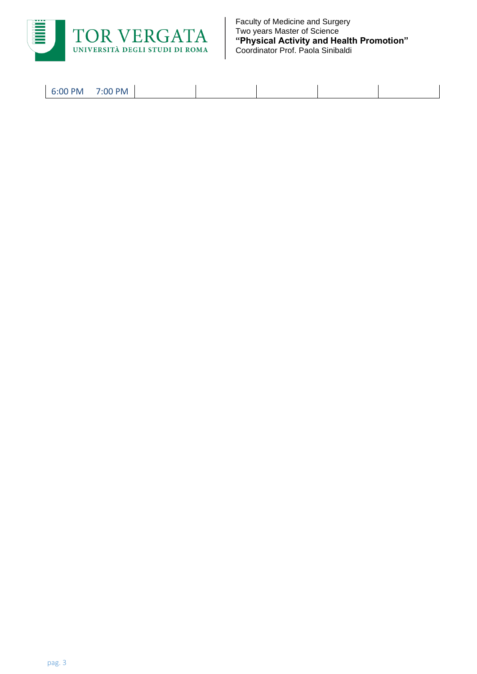

Faculty of Medicine and Surgery Two years Master of Science **"Physical Activity and Health Promotion"** Coordinator Prof. Paola Sinibaldi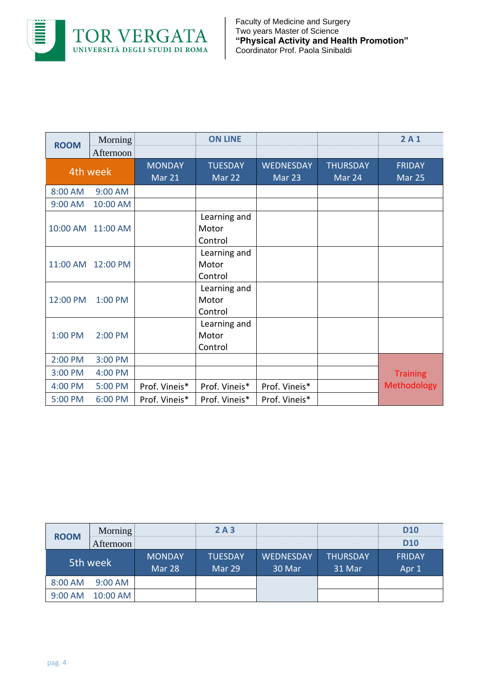

| <b>ROOM</b> | Morning           |                         | <b>ON LINE</b>                   |                            |                           | 2A1                     |
|-------------|-------------------|-------------------------|----------------------------------|----------------------------|---------------------------|-------------------------|
|             | Afternoon         |                         |                                  |                            |                           |                         |
|             | 4th week          | <b>MONDAY</b><br>Mar 21 | <b>TUESDAY</b><br>Mar 22         | <b>WEDNESDAY</b><br>Mar 23 | <b>THURSDAY</b><br>Mar 24 | <b>FRIDAY</b><br>Mar 25 |
| 8:00 AM     | 9:00 AM           |                         |                                  |                            |                           |                         |
| 9:00 AM     | 10:00 AM          |                         |                                  |                            |                           |                         |
|             | 10:00 AM 11:00 AM |                         | Learning and<br>Motor<br>Control |                            |                           |                         |
|             | 11:00 AM 12:00 PM |                         | Learning and<br>Motor<br>Control |                            |                           |                         |
| 12:00 PM    | 1:00 PM           |                         | Learning and<br>Motor<br>Control |                            |                           |                         |
| 1:00 PM     | 2:00 PM           |                         | Learning and<br>Motor<br>Control |                            |                           |                         |
| 2:00 PM     | 3:00 PM           |                         |                                  |                            |                           |                         |
| 3:00 PM     | 4:00 PM           |                         |                                  |                            |                           | <b>Training</b>         |
| 4:00 PM     | 5:00 PM           | Prof. Vineis*           | Prof. Vineis*                    | Prof. Vineis*              |                           | <b>Methodology</b>      |
| 5:00 PM     | 6:00 PM           | Prof. Vineis*           | Prof. Vineis*                    | Prof. Vineis*              |                           |                         |

| <b>ROOM</b> | Morning   |                         | 2A3                             |                            |                           | <b>D10</b>             |
|-------------|-----------|-------------------------|---------------------------------|----------------------------|---------------------------|------------------------|
|             | Afternoon |                         |                                 |                            |                           | <b>D10</b>             |
|             | 5th week  | <b>MONDAY</b><br>Mar 28 | <b>TUESDAY</b><br><b>Mar 29</b> | <b>WEDNESDAY</b><br>30 Mar | <b>THURSDAY</b><br>31 Mar | <b>FRIDAY</b><br>Apr 1 |
| 8:00 AM     | $9:00$ AM |                         |                                 |                            |                           |                        |
| 9:00 AM     | 10:00 AM  |                         |                                 |                            |                           |                        |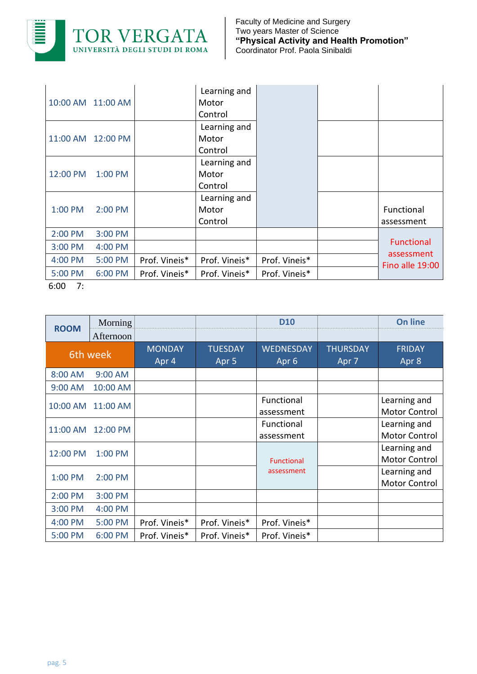

|          | 10:00 AM 11:00 AM  |               | Learning and<br>Motor<br>Control |               |                               |
|----------|--------------------|---------------|----------------------------------|---------------|-------------------------------|
|          | 11:00 AM  12:00 PM |               | Learning and<br>Motor<br>Control |               |                               |
| 12:00 PM | 1:00 PM            |               | Learning and<br>Motor<br>Control |               |                               |
| 1:00 PM  | 2:00 PM            |               | Learning and<br>Motor<br>Control |               | Functional<br>assessment      |
| 2:00 PM  | 3:00 PM            |               |                                  |               |                               |
| 3:00 PM  | 4:00 PM            |               |                                  |               | <b>Functional</b>             |
| 4:00 PM  | 5:00 PM            | Prof. Vineis* | Prof. Vineis*                    | Prof. Vineis* | assessment<br>Fino alle 19:00 |
| 5:00 PM  | 6:00 PM            | Prof. Vineis* | Prof. Vineis*                    | Prof. Vineis* |                               |

6:00 7:

| <b>ROOM</b> | Morning   |               |                  | <b>D10</b>        |                 | <b>On line</b>       |
|-------------|-----------|---------------|------------------|-------------------|-----------------|----------------------|
|             | Afternoon |               |                  |                   |                 |                      |
|             | 6th week  | <b>MONDAY</b> | <b>TUESDAY</b>   | <b>WEDNESDAY</b>  | <b>THURSDAY</b> | <b>FRIDAY</b>        |
|             |           | Apr 4         | Apr <sub>5</sub> | Apr <sub>6</sub>  | Apr 7           | Apr 8                |
| 8:00 AM     | 9:00 AM   |               |                  |                   |                 |                      |
| 9:00 AM     | 10:00 AM  |               |                  |                   |                 |                      |
| 10:00 AM    | 11:00 AM  |               |                  | Functional        |                 | Learning and         |
|             |           |               |                  | assessment        |                 | <b>Motor Control</b> |
| 11:00 AM    | 12:00 PM  |               |                  | Functional        |                 | Learning and         |
|             |           |               |                  | assessment        |                 | <b>Motor Control</b> |
| 12:00 PM    | 1:00 PM   |               |                  |                   |                 | Learning and         |
|             |           |               |                  | <b>Functional</b> |                 | <b>Motor Control</b> |
| 1:00 PM     | 2:00 PM   |               |                  | assessment        |                 | Learning and         |
|             |           |               |                  |                   |                 | <b>Motor Control</b> |
| 2:00 PM     | 3:00 PM   |               |                  |                   |                 |                      |
| 3:00 PM     | 4:00 PM   |               |                  |                   |                 |                      |
| 4:00 PM     | 5:00 PM   | Prof. Vineis* | Prof. Vineis*    | Prof. Vineis*     |                 |                      |
| 5:00 PM     | 6:00 PM   | Prof. Vineis* | Prof. Vineis*    | Prof. Vineis*     |                 |                      |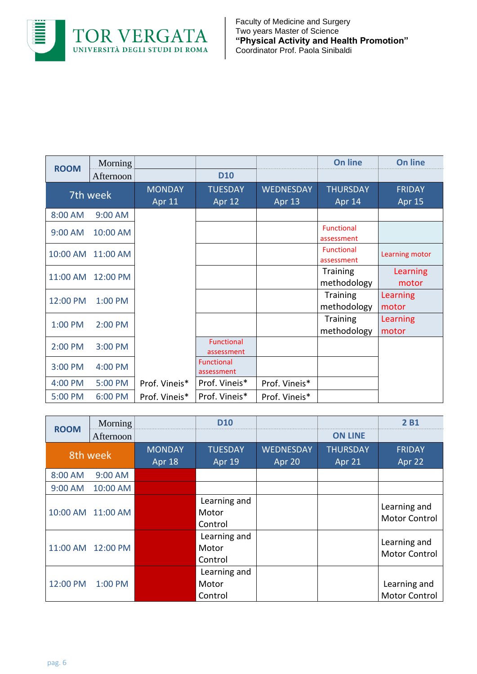

Faculty of Medicine and Surgery Two years Master of Science **"Physical Activity and Health Promotion"** Coordinator Prof. Paola Sinibaldi

| <b>ROOM</b> | Morning   |                                |                                 |                            | <b>On line</b>                  | <b>On line</b>                 |
|-------------|-----------|--------------------------------|---------------------------------|----------------------------|---------------------------------|--------------------------------|
|             | Afternoon |                                | <b>D10</b>                      |                            |                                 |                                |
|             | 7th week  | <b>MONDAY</b><br><b>Apr 11</b> | <b>TUESDAY</b><br><b>Apr 12</b> | <b>WEDNESDAY</b><br>Apr 13 | <b>THURSDAY</b><br>Apr 14       | <b>FRIDAY</b><br><b>Apr 15</b> |
| 8:00 AM     | 9:00 AM   |                                |                                 |                            |                                 |                                |
| 9:00 AM     | 10:00 AM  |                                |                                 |                            | <b>Functional</b><br>assessment |                                |
| 10:00 AM    | 11:00 AM  |                                |                                 |                            | <b>Functional</b><br>assessment | Learning motor                 |
| 11:00 AM    | 12:00 PM  |                                |                                 |                            | <b>Training</b><br>methodology  | Learning<br>motor              |
| 12:00 PM    | 1:00 PM   |                                |                                 |                            | <b>Training</b><br>methodology  | Learning<br>motor              |
| 1:00 PM     | 2:00 PM   |                                |                                 |                            | <b>Training</b><br>methodology  | Learning<br>motor              |
| 2:00 PM     | 3:00 PM   |                                | <b>Functional</b><br>assessment |                            |                                 |                                |
| 3:00 PM     | 4:00 PM   |                                | <b>Functional</b><br>assessment |                            |                                 |                                |
| 4:00 PM     | 5:00 PM   | Prof. Vineis*                  | Prof. Vineis*                   | Prof. Vineis*              |                                 |                                |
| 5:00 PM     | 6:00 PM   | Prof. Vineis*                  | Prof. Vineis*                   | Prof. Vineis*              |                                 |                                |

| <b>ROOM</b> | Morning   |                         | <b>D10</b>                       |                            |                           | 2B <sub>1</sub>                      |
|-------------|-----------|-------------------------|----------------------------------|----------------------------|---------------------------|--------------------------------------|
|             | Afternoon |                         |                                  |                            | <b>ON LINE</b>            |                                      |
|             | 8th week  | <b>MONDAY</b><br>Apr 18 | <b>TUESDAY</b><br>Apr 19         | <b>WEDNESDAY</b><br>Apr 20 | <b>THURSDAY</b><br>Apr 21 | <b>FRIDAY</b><br>Apr 22              |
| 8:00 AM     | 9:00 AM   |                         |                                  |                            |                           |                                      |
| 9:00 AM     | 10:00 AM  |                         |                                  |                            |                           |                                      |
| 10:00 AM    | 11:00 AM  |                         | Learning and<br>Motor<br>Control |                            |                           | Learning and<br><b>Motor Control</b> |
| 11:00 AM    | 12:00 PM  |                         | Learning and<br>Motor<br>Control |                            |                           | Learning and<br><b>Motor Control</b> |
| 12:00 PM    | 1:00 PM   |                         | Learning and<br>Motor<br>Control |                            |                           | Learning and<br><b>Motor Control</b> |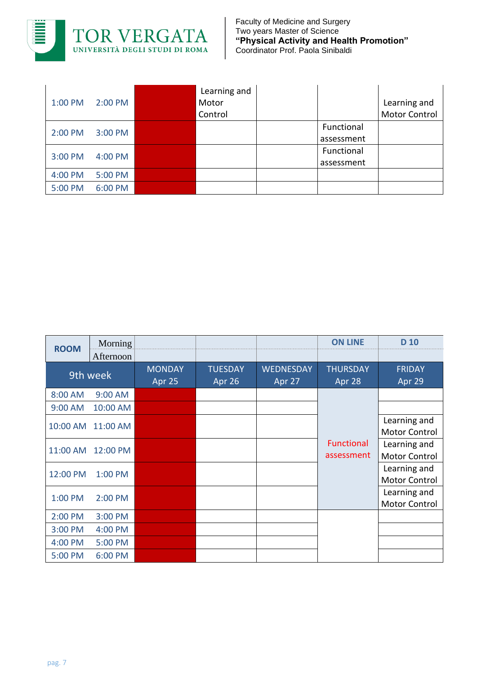

| 1:00 PM | 2:00 PM | Learning and<br>Motor<br>Control |                          | Learning and<br><b>Motor Control</b> |
|---------|---------|----------------------------------|--------------------------|--------------------------------------|
| 2:00 PM | 3:00 PM |                                  | Functional<br>assessment |                                      |
| 3:00 PM | 4:00 PM |                                  | Functional<br>assessment |                                      |
| 4:00 PM | 5:00 PM |                                  |                          |                                      |
| 5:00 PM | 6:00 PM |                                  |                          |                                      |

| <b>ROOM</b> | Morning   |                         |                          |                            | <b>ON LINE</b>                  | D <sub>10</sub>                      |
|-------------|-----------|-------------------------|--------------------------|----------------------------|---------------------------------|--------------------------------------|
|             | Afternoon |                         |                          |                            |                                 |                                      |
| 9th week    |           | <b>MONDAY</b><br>Apr 25 | <b>TUESDAY</b><br>Apr 26 | <b>WEDNESDAY</b><br>Apr 27 | <b>THURSDAY</b><br>Apr 28       | <b>FRIDAY</b><br>Apr 29              |
| 8:00 AM     | 9:00 AM   |                         |                          |                            |                                 |                                      |
| 9:00 AM     | 10:00 AM  |                         |                          |                            | <b>Functional</b><br>assessment |                                      |
| 10:00 AM    | 11:00 AM  |                         |                          |                            |                                 | Learning and<br><b>Motor Control</b> |
| 11:00 AM    | 12:00 PM  |                         |                          |                            |                                 | Learning and<br>Motor Control        |
| 12:00 PM    | 1:00 PM   |                         |                          |                            |                                 | Learning and<br><b>Motor Control</b> |
| 1:00 PM     | 2:00 PM   |                         |                          |                            |                                 | Learning and<br>Motor Control        |
| 2:00 PM     | 3:00 PM   |                         |                          |                            |                                 |                                      |
| 3:00 PM     | 4:00 PM   |                         |                          |                            |                                 |                                      |
| 4:00 PM     | 5:00 PM   |                         |                          |                            |                                 |                                      |
| 5:00 PM     | 6:00 PM   |                         |                          |                            |                                 |                                      |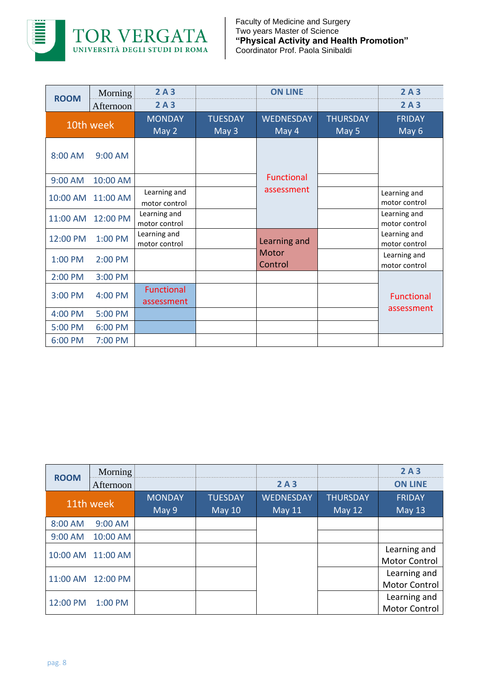

| <b>ROOM</b> | Morning   | 2A3                             |                         | <b>ON LINE</b>                  |                          | 2A3                                                            |
|-------------|-----------|---------------------------------|-------------------------|---------------------------------|--------------------------|----------------------------------------------------------------|
|             | Afternoon | 2A3                             |                         |                                 |                          | 2A3                                                            |
| 10th week   |           | <b>MONDAY</b><br>May 2          | <b>TUESDAY</b><br>May 3 | <b>WEDNESDAY</b><br>May 4       | <b>THURSDAY</b><br>May 5 | <b>FRIDAY</b><br>May 6                                         |
| 8:00 AM     | 9:00 AM   |                                 |                         |                                 |                          |                                                                |
| 9:00 AM     | 10:00 AM  |                                 |                         | <b>Functional</b><br>assessment |                          | Learning and<br>motor control<br>Learning and<br>motor control |
| 10:00 AM    | 11:00 AM  | Learning and<br>motor control   |                         |                                 |                          |                                                                |
| 11:00 AM    | 12:00 PM  | Learning and<br>motor control   |                         |                                 |                          |                                                                |
| 12:00 PM    | 1:00 PM   | Learning and<br>motor control   |                         | Learning and                    |                          | Learning and<br>motor control                                  |
| 1:00 PM     | 2:00 PM   |                                 |                         | Motor<br>Control                |                          | Learning and<br>motor control                                  |
| 2:00 PM     | 3:00 PM   |                                 |                         |                                 |                          |                                                                |
| 3:00 PM     | 4:00 PM   | <b>Functional</b><br>assessment |                         |                                 |                          | <b>Functional</b>                                              |
| 4:00 PM     | 5:00 PM   |                                 |                         |                                 |                          | assessment                                                     |
| 5:00 PM     | 6:00 PM   |                                 |                         |                                 |                          |                                                                |
| 6:00 PM     | 7:00 PM   |                                 |                         |                                 |                          |                                                                |

| <b>ROOM</b> | Morning           |               |                |                  |                 | 2A3                  |
|-------------|-------------------|---------------|----------------|------------------|-----------------|----------------------|
|             | Afternoon         |               |                | 2A3              |                 | <b>ON LINE</b>       |
| 11th week   |                   | <b>MONDAY</b> | <b>TUESDAY</b> | <b>WEDNESDAY</b> | <b>THURSDAY</b> | <b>FRIDAY</b>        |
|             |                   | May 9         | <b>May 10</b>  | <b>May 11</b>    | <b>May 12</b>   | <b>May 13</b>        |
| 8:00 AM     | 9:00 AM           |               |                |                  |                 |                      |
| 9:00 AM     | 10:00 AM          |               |                |                  |                 |                      |
|             | 10:00 AM 11:00 AM |               |                |                  |                 | Learning and         |
|             |                   |               |                |                  |                 | <b>Motor Control</b> |
|             | 11:00 AM 12:00 PM |               |                |                  |                 | Learning and         |
|             |                   |               |                |                  |                 | <b>Motor Control</b> |
| 12:00 PM    | 1:00 PM           |               |                |                  |                 | Learning and         |
|             |                   |               |                |                  |                 | Motor Control        |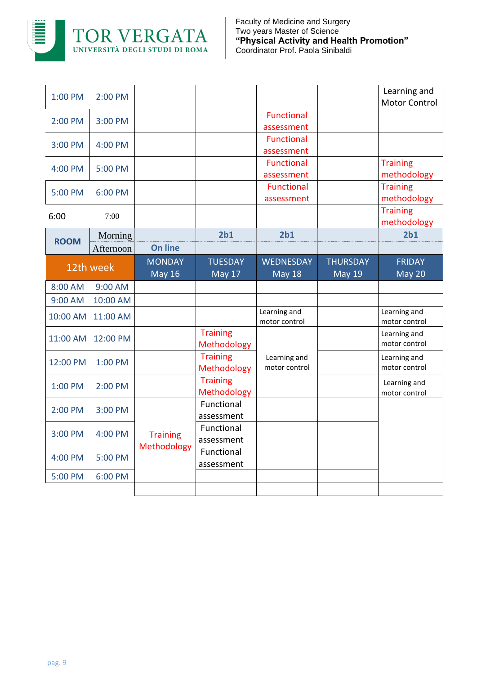

| 1:00 PM     | $2:00 \text{ PM}$ |                 |                 |                   |                 | Learning and         |
|-------------|-------------------|-----------------|-----------------|-------------------|-----------------|----------------------|
|             |                   |                 |                 |                   |                 | <b>Motor Control</b> |
| 2:00 PM     | 3:00 PM           |                 |                 | <b>Functional</b> |                 |                      |
|             |                   |                 |                 | assessment        |                 |                      |
| 3:00 PM     | 4:00 PM           |                 |                 | Functional        |                 |                      |
|             |                   |                 |                 | assessment        |                 |                      |
| 4:00 PM     | 5:00 PM           |                 |                 | <b>Functional</b> |                 | <b>Training</b>      |
|             |                   |                 |                 | assessment        |                 | methodology          |
| 5:00 PM     | 6:00 PM           |                 |                 | <b>Functional</b> |                 | <b>Training</b>      |
|             |                   |                 |                 | assessment        |                 | methodology          |
| 6:00        | 7:00              |                 |                 |                   |                 | <b>Training</b>      |
|             |                   |                 |                 |                   |                 | methodology          |
| <b>ROOM</b> | Morning           |                 | 2 <sub>b1</sub> | 2 <sub>b1</sub>   |                 | 2 <sub>b1</sub>      |
|             | Afternoon         | <b>On line</b>  |                 |                   |                 |                      |
|             |                   | <b>MONDAY</b>   | <b>TUESDAY</b>  | <b>WEDNESDAY</b>  | <b>THURSDAY</b> | <b>FRIDAY</b>        |
|             | 12th week         | <b>May 16</b>   | May 17          | <b>May 18</b>     | <b>May 19</b>   | May 20               |
| 8:00 AM     | 9:00 AM           |                 |                 |                   |                 |                      |
| 9:00 AM     | 10:00 AM          |                 |                 |                   |                 |                      |
|             |                   |                 |                 | Learning and      |                 |                      |
|             |                   |                 |                 |                   |                 | Learning and         |
| 10:00 AM    | 11:00 AM          |                 |                 | motor control     |                 | motor control        |
|             |                   |                 | <b>Training</b> |                   |                 | Learning and         |
| 11:00 AM    | 12:00 PM          |                 | Methodology     |                   |                 | motor control        |
|             |                   |                 | <b>Training</b> | Learning and      |                 | Learning and         |
| 12:00 PM    | 1:00 PM           |                 | Methodology     | motor control     |                 | motor control        |
|             |                   |                 | <b>Training</b> |                   |                 | Learning and         |
| 1:00 PM     | 2:00 PM           |                 | Methodology     |                   |                 | motor control        |
|             |                   |                 | Functional      |                   |                 |                      |
| 2:00 PM     | $3:00$ PM         |                 | assessment      |                   |                 |                      |
|             |                   |                 | Functional      |                   |                 |                      |
| 3:00 PM     | 4:00 PM           | <b>Training</b> | assessment      |                   |                 |                      |
|             |                   | Methodology     | Functional      |                   |                 |                      |
| 4:00 PM     | 5:00 PM           |                 | assessment      |                   |                 |                      |
| 5:00 PM     | 6:00 PM           |                 |                 |                   |                 |                      |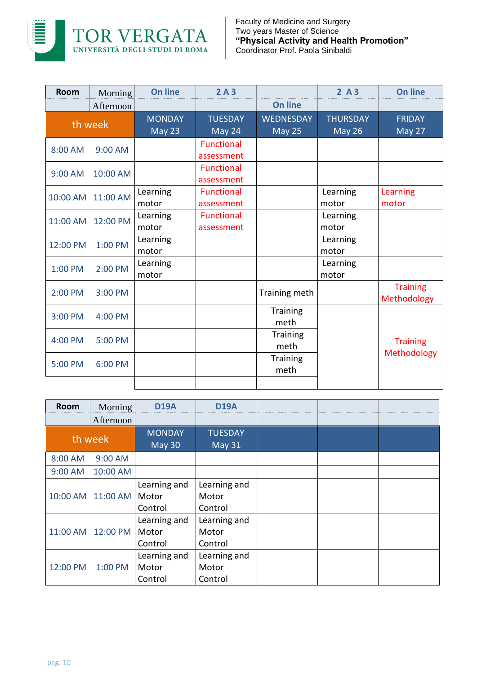

| <b>Room</b> | Morning   | <b>On line</b>          | 2A3                             |                                   | 2A3                              | <b>On line</b>                 |
|-------------|-----------|-------------------------|---------------------------------|-----------------------------------|----------------------------------|--------------------------------|
|             | Afternoon |                         |                                 | <b>On line</b>                    |                                  |                                |
| th week     |           | <b>MONDAY</b><br>May 23 | <b>TUESDAY</b><br>May 24        | <b>WEDNESDAY</b><br><b>May 25</b> | <b>THURSDAY</b><br><b>May 26</b> | <b>FRIDAY</b><br>May 27        |
| 8:00 AM     | 9:00 AM   |                         | <b>Functional</b><br>assessment |                                   |                                  |                                |
| 9:00 AM     | 10:00 AM  |                         | <b>Functional</b><br>assessment |                                   |                                  |                                |
| 10:00 AM    | 11:00 AM  | Learning<br>motor       | <b>Functional</b><br>assessment |                                   | Learning<br>motor                | Learning<br>motor              |
| 11:00 AM    | 12:00 PM  | Learning<br>motor       | <b>Functional</b><br>assessment |                                   | Learning<br>motor                |                                |
| 12:00 PM    | 1:00 PM   | Learning<br>motor       |                                 |                                   | Learning<br>motor                |                                |
| 1:00 PM     | 2:00 PM   | Learning<br>motor       |                                 |                                   | Learning<br>motor                |                                |
| 2:00 PM     | 3:00 PM   |                         |                                 | Training meth                     |                                  | <b>Training</b><br>Methodology |
| 3:00 PM     | 4:00 PM   |                         |                                 | <b>Training</b><br>meth           |                                  |                                |
| 4:00 PM     | 5:00 PM   |                         |                                 | Training<br>meth                  |                                  | <b>Training</b>                |
| 5:00 PM     | 6:00 PM   |                         |                                 | <b>Training</b><br>meth           |                                  | Methodology                    |
|             |           |                         |                                 |                                   |                                  |                                |

| <b>Room</b> | Morning           | <b>D19A</b>                      | <b>D19A</b>                      |  |  |
|-------------|-------------------|----------------------------------|----------------------------------|--|--|
|             | Afternoon         |                                  |                                  |  |  |
| th week     |                   | <b>MONDAY</b><br>May 30          | <b>TUESDAY</b><br><b>May 31</b>  |  |  |
| 8:00 AM     | 9:00 AM           |                                  |                                  |  |  |
| 9:00 AM     | 10:00 AM          |                                  |                                  |  |  |
|             | 10:00 AM 11:00 AM | Learning and<br>Motor<br>Control | Learning and<br>Motor<br>Control |  |  |
| 11:00 AM    | 12:00 PM          | Learning and<br>Motor<br>Control | Learning and<br>Motor<br>Control |  |  |
| 12:00 PM    | 1:00 PM           | Learning and<br>Motor<br>Control | Learning and<br>Motor<br>Control |  |  |